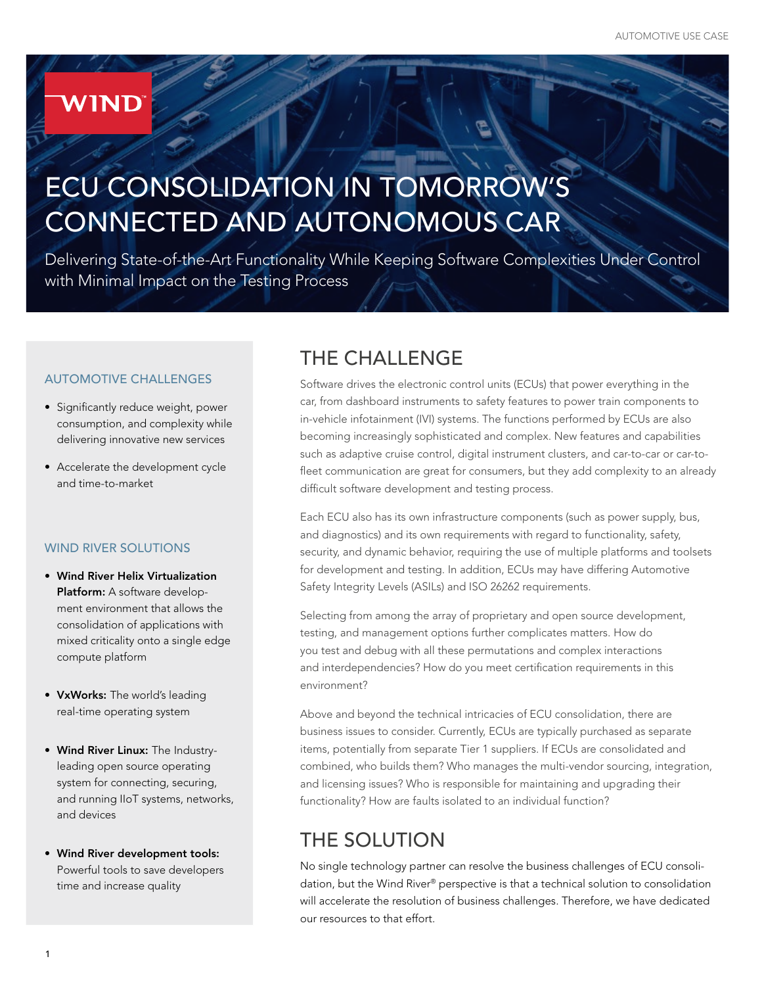## **WIND**

# ECU CONSOLIDATION IN TOMORROW'S CONNECTED AND AUTONOMOUS CAR

Delivering State-of-the-Art Functionality While Keeping Software Complexities Under Control with Minimal Impact on the Testing Process

#### AUTOMOTIVE CHALLENGES

- Significantly reduce weight, power consumption, and complexity while delivering innovative new services
- Accelerate the development cycle and time-to-market

#### WIND RIVER SOLUTIONS

- Wind River Helix Virtualization Platform: A software development environment that allows the consolidation of applications with mixed criticality onto a single edge compute platform
- VxWorks: The world's leading real-time operating system
- Wind River Linux: The Industryleading open source operating system for connecting, securing, and running IIoT systems, networks, and devices
- Wind River development tools: Powerful tools to save developers time and increase quality

## THE CHALLENGE

Software drives the electronic control units (ECUs) that power everything in the car, from dashboard instruments to safety features to power train components to in-vehicle infotainment (IVI) systems. The functions performed by ECUs are also becoming increasingly sophisticated and complex. New features and capabilities such as adaptive cruise control, digital instrument clusters, and car-to-car or car-tofleet communication are great for consumers, but they add complexity to an already difficult software development and testing process.

Each ECU also has its own infrastructure components (such as power supply, bus, and diagnostics) and its own requirements with regard to functionality, safety, security, and dynamic behavior, requiring the use of multiple platforms and toolsets for development and testing. In addition, ECUs may have differing Automotive Safety Integrity Levels (ASILs) and ISO 26262 requirements.

Selecting from among the array of proprietary and open source development, testing, and management options further complicates matters. How do you test and debug with all these permutations and complex interactions and interdependencies? How do you meet certification requirements in this environment?

Above and beyond the technical intricacies of ECU consolidation, there are business issues to consider. Currently, ECUs are typically purchased as separate items, potentially from separate Tier 1 suppliers. If ECUs are consolidated and combined, who builds them? Who manages the multi-vendor sourcing, integration, and licensing issues? Who is responsible for maintaining and upgrading their functionality? How are faults isolated to an individual function?

### THE SOLUTION

No single technology partner can resolve the business challenges of ECU consolidation, but the Wind River® perspective is that a technical solution to consolidation will accelerate the resolution of business challenges. Therefore, we have dedicated our resources to that effort.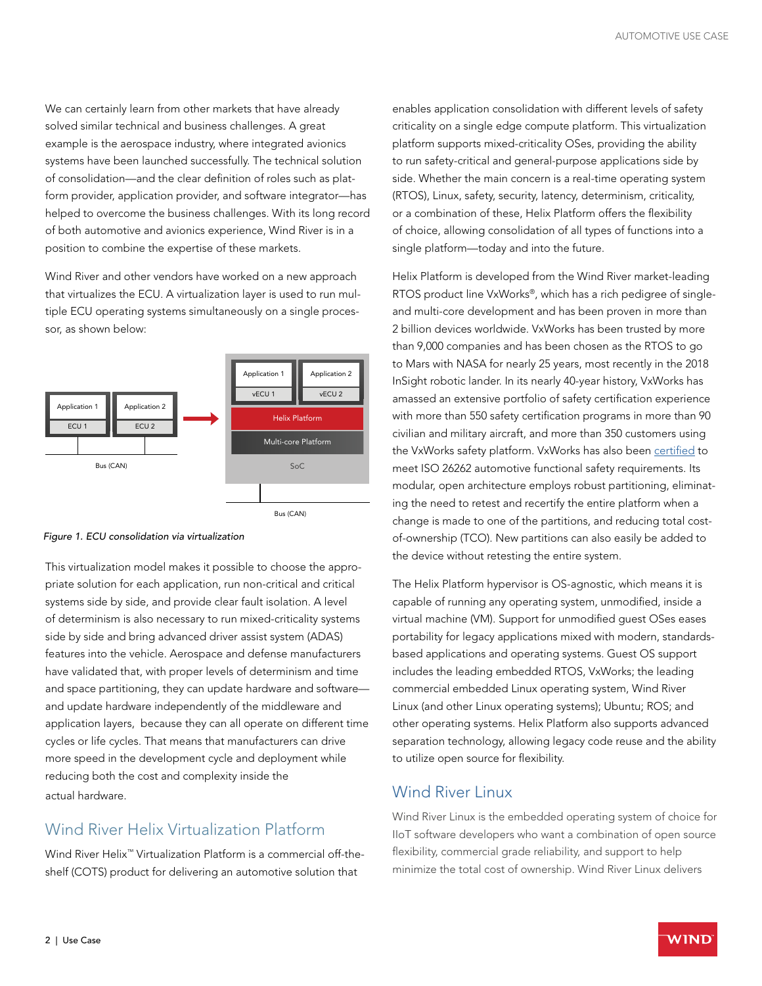We can certainly learn from other markets that have already solved similar technical and business challenges. A great example is the aerospace industry, where integrated avionics systems have been launched successfully. The technical solution of consolidation—and the clear definition of roles such as platform provider, application provider, and software integrator—has helped to overcome the business challenges. With its long record of both automotive and avionics experience, Wind River is in a position to combine the expertise of these markets.

Wind River and other vendors have worked on a new approach that virtualizes the ECU. A virtualization layer is used to run multiple ECU operating systems simultaneously on a single processor, as shown below:



*Figure 1. ECU consolidation via virtualization* 

This virtualization model makes it possible to choose the appropriate solution for each application, run non-critical and critical systems side by side, and provide clear fault isolation. A level of determinism is also necessary to run mixed-criticality systems side by side and bring advanced driver assist system (ADAS) features into the vehicle. Aerospace and defense manufacturers have validated that, with proper levels of determinism and time and space partitioning, they can update hardware and software and update hardware independently of the middleware and application layers, because they can all operate on different time cycles or life cycles. That means that manufacturers can drive more speed in the development cycle and deployment while reducing both the cost and complexity inside the actual hardware.

#### Wind River Helix Virtualization Platform

Wind River Helix<sup>™</sup> Virtualization Platform is a commercial off-theshelf (COTS) product for delivering an automotive solution that

enables application consolidation with different levels of safety criticality on a single edge compute platform. This virtualization platform supports mixed-criticality OSes, providing the ability to run safety-critical and general-purpose applications side by side. Whether the main concern is a real-time operating system (RTOS), Linux, safety, security, latency, determinism, criticality, or a combination of these, Helix Platform offers the flexibility of choice, allowing consolidation of all types of functions into a single platform—today and into the future.

Helix Platform is developed from the Wind River market-leading RTOS product line VxWorks®, which has a rich pedigree of singleand multi-core development and has been proven in more than 2 billion devices worldwide. VxWorks has been trusted by more than 9,000 companies and has been chosen as the RTOS to go to Mars with NASA for nearly 25 years, most recently in the 2018 InSight robotic lander. In its nearly 40-year history, VxWorks has amassed an extensive portfolio of safety certification experience with more than 550 safety certification programs in more than 90 civilian and military aircraft, and more than 350 customers using the VxWorks safety platform. VxWorks has also been certified to meet ISO 26262 automotive functional safety requirements. Its modular, open architecture employs robust partitioning, eliminating the need to retest and recertify the entire platform when a change is made to one of the partitions, and reducing total costof-ownership (TCO). New partitions can also easily be added to the device without retesting the entire system.

The Helix Platform hypervisor is OS-agnostic, which means it is capable of running any operating system, unmodified, inside a virtual machine (VM). Support for unmodified guest OSes eases portability for legacy applications mixed with modern, standardsbased applications and operating systems. Guest OS support includes the leading embedded RTOS, VxWorks; the leading commercial embedded Linux operating system, Wind River Linux (and other Linux operating systems); Ubuntu; ROS; and other operating systems. Helix Platform also supports advanced separation technology, allowing legacy code reuse and the ability to utilize open source for flexibility.

#### Wind River Linux

Wind River Linux is the embedded operating system of choice for IIoT software developers who want a combination of open source flexibility, commercial grade reliability, and support to help minimize the total cost of ownership. Wind River Linux delivers

WIND